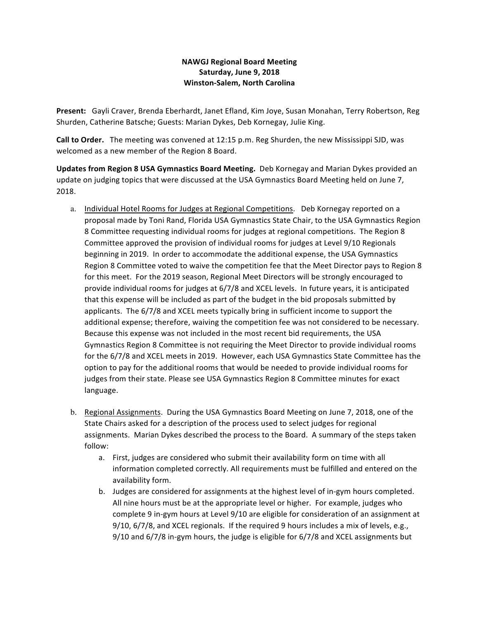## **NAWGJ Regional Board Meeting Saturday, June 9, 2018 Winston-Salem, North Carolina**

Present: Gayli Craver, Brenda Eberhardt, Janet Efland, Kim Joye, Susan Monahan, Terry Robertson, Reg Shurden, Catherine Batsche; Guests: Marian Dykes, Deb Kornegay, Julie King.

**Call to Order.** The meeting was convened at 12:15 p.m. Reg Shurden, the new Mississippi SJD, was welcomed as a new member of the Region 8 Board.

**Updates from Region 8 USA Gymnastics Board Meeting.** Deb Kornegay and Marian Dykes provided an update on judging topics that were discussed at the USA Gymnastics Board Meeting held on June 7, 2018.

- a. Individual Hotel Rooms for Judges at Regional Competitions. Deb Kornegay reported on a proposal made by Toni Rand, Florida USA Gymnastics State Chair, to the USA Gymnastics Region 8 Committee requesting individual rooms for judges at regional competitions. The Region 8 Committee approved the provision of individual rooms for judges at Level 9/10 Regionals beginning in 2019. In order to accommodate the additional expense, the USA Gymnastics Region 8 Committee voted to waive the competition fee that the Meet Director pays to Region 8 for this meet. For the 2019 season, Regional Meet Directors will be strongly encouraged to provide individual rooms for judges at 6/7/8 and XCEL levels. In future years, it is anticipated that this expense will be included as part of the budget in the bid proposals submitted by applicants. The 6/7/8 and XCEL meets typically bring in sufficient income to support the additional expense; therefore, waiving the competition fee was not considered to be necessary. Because this expense was not included in the most recent bid requirements, the USA Gymnastics Region 8 Committee is not requiring the Meet Director to provide individual rooms for the 6/7/8 and XCEL meets in 2019. However, each USA Gymnastics State Committee has the option to pay for the additional rooms that would be needed to provide individual rooms for judges from their state. Please see USA Gymnastics Region 8 Committee minutes for exact language.
- b. Regional Assignments. During the USA Gymnastics Board Meeting on June 7, 2018, one of the State Chairs asked for a description of the process used to select judges for regional assignments. Marian Dykes described the process to the Board. A summary of the steps taken follow:
	- a. First, judges are considered who submit their availability form on time with all information completed correctly. All requirements must be fulfilled and entered on the availability form.
	- b. Judges are considered for assignments at the highest level of in-gym hours completed. All nine hours must be at the appropriate level or higher. For example, judges who complete 9 in-gym hours at Level 9/10 are eligible for consideration of an assignment at  $9/10$ ,  $6/7/8$ , and XCEL regionals. If the required 9 hours includes a mix of levels, e.g.,  $9/10$  and  $6/7/8$  in-gym hours, the judge is eligible for  $6/7/8$  and XCEL assignments but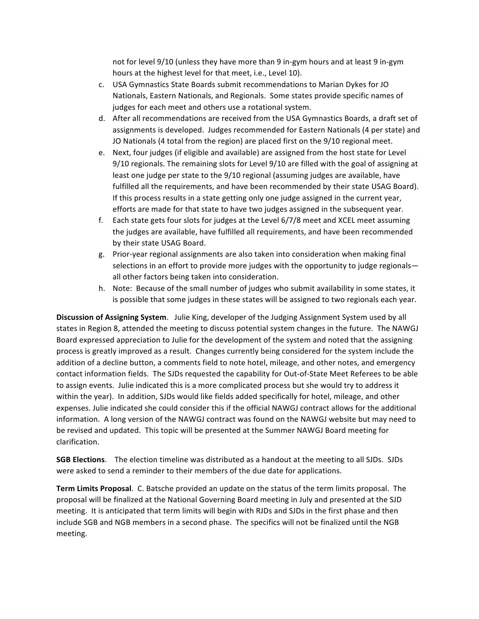not for level  $9/10$  (unless they have more than 9 in-gym hours and at least 9 in-gym hours at the highest level for that meet, i.e., Level 10).

- c. USA Gymnastics State Boards submit recommendations to Marian Dykes for JO Nationals, Eastern Nationals, and Regionals. Some states provide specific names of judges for each meet and others use a rotational system.
- d. After all recommendations are received from the USA Gymnastics Boards, a draft set of assignments is developed. Judges recommended for Eastern Nationals (4 per state) and JO Nationals (4 total from the region) are placed first on the 9/10 regional meet.
- e. Next, four judges (if eligible and available) are assigned from the host state for Level 9/10 regionals. The remaining slots for Level 9/10 are filled with the goal of assigning at least one judge per state to the 9/10 regional (assuming judges are available, have fulfilled all the requirements, and have been recommended by their state USAG Board). If this process results in a state getting only one judge assigned in the current year, efforts are made for that state to have two judges assigned in the subsequent year.
- f. Each state gets four slots for judges at the Level 6/7/8 meet and XCEL meet assuming the judges are available, have fulfilled all requirements, and have been recommended by their state USAG Board.
- g. Prior-year regional assignments are also taken into consideration when making final selections in an effort to provide more judges with the opportunity to judge regionals all other factors being taken into consideration.
- h. Note: Because of the small number of judges who submit availability in some states, it is possible that some judges in these states will be assigned to two regionals each year.

**Discussion of Assigning System.** Julie King, developer of the Judging Assignment System used by all states in Region 8, attended the meeting to discuss potential system changes in the future. The NAWGJ Board expressed appreciation to Julie for the development of the system and noted that the assigning process is greatly improved as a result. Changes currently being considered for the system include the addition of a decline button, a comments field to note hotel, mileage, and other notes, and emergency contact information fields. The SJDs requested the capability for Out-of-State Meet Referees to be able to assign events. Julie indicated this is a more complicated process but she would try to address it within the year). In addition, SJDs would like fields added specifically for hotel, mileage, and other expenses. Julie indicated she could consider this if the official NAWGJ contract allows for the additional information. A long version of the NAWGJ contract was found on the NAWGJ website but may need to be revised and updated. This topic will be presented at the Summer NAWGJ Board meeting for clarification. 

**SGB Elections**. The election timeline was distributed as a handout at the meeting to all SJDs. SJDs were asked to send a reminder to their members of the due date for applications.

**Term Limits Proposal.** C. Batsche provided an update on the status of the term limits proposal. The proposal will be finalized at the National Governing Board meeting in July and presented at the SJD meeting. It is anticipated that term limits will begin with RJDs and SJDs in the first phase and then include SGB and NGB members in a second phase. The specifics will not be finalized until the NGB meeting.